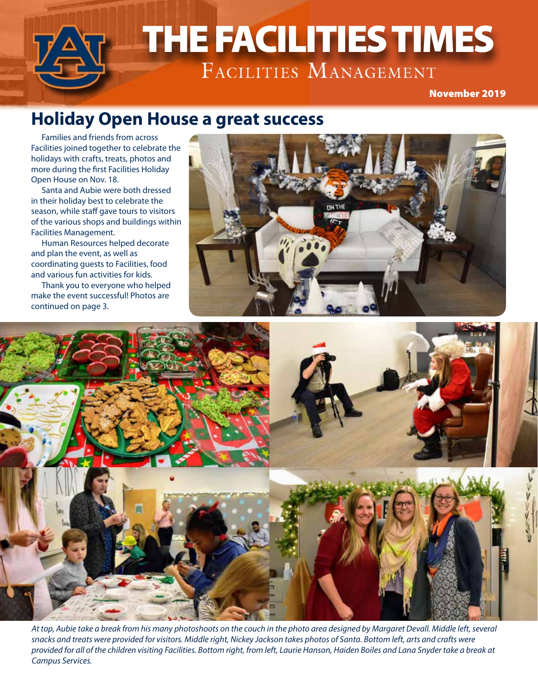# THE FACILITIES TIMES THE FACILITIES TIMES November 2019

### **Holiday Open House a great success**

Families and friends from across Facilities joined together to celebrate the holidays with crafts, treats, photos and more during the first Facilities Holiday Open House on Nov. 18.

Santa and Aubie were both dressed in their holiday best to celebrate the season, while staff gave tours to visitors of the various shops and buildings within Facilities Management.

Human Resources helped decorate and plan the event, as well as coordinating guests to Facilities, food and various fun activities for kids.

Thank you to everyone who helped make the event successful! Photos are continued on page 3.





*At top, Aubie take a break from his many photoshoots on the couch in the photo area designed by Margaret Devall. Middle left, several snacks and treats were provided for visitors. Middle right, Nickey Jackson takes photos of Santa. Bottom left, arts and crafts were provided for all of the children visiting Facilities. Bottom right, from left, Laurie Hanson, Haiden Boiles and Lana Snyder take a break at Campus Services.*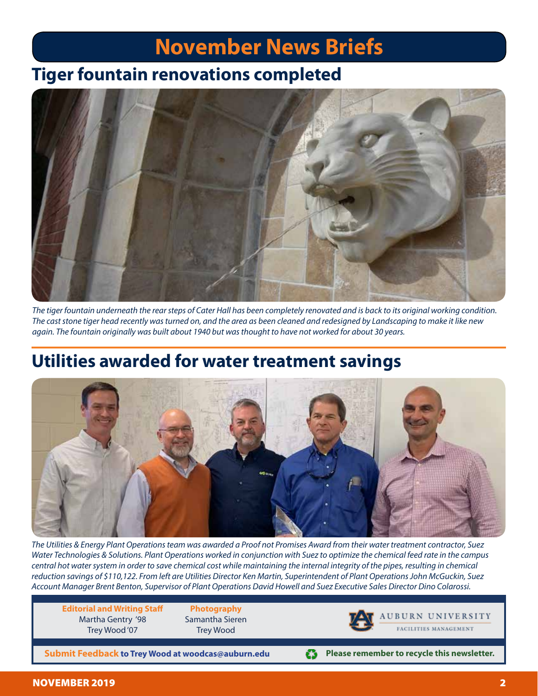# **November News Briefs**

## **Tiger fountain renovations completed**



*The tiger fountain underneath the rear steps of Cater Hall has been completely renovated and is back to its original working condition. The cast stone tiger head recently was turned on, and the area as been cleaned and redesigned by Landscaping to make it like new again. The fountain originally was built about 1940 but was thought to have not worked for about 30 years.*

#### **Utilities awarded for water treatment savings**



*The Utilities & Energy Plant Operations team was awarded a Proof not Promises Award from their water treatment contractor, Suez Water Technologies & Solutions. Plant Operations worked in conjunction with Suez to optimize the chemical feed rate in the campus central hot water system in order to save chemical cost while maintaining the internal integrity of the pipes, resulting in chemical reduction savings of \$110,122. From left are Utilities Director Ken Martin, Superintendent of Plant Operations John McGuckin, Suez Account Manager Brent Benton, Supervisor of Plant Operations David Howell and Suez Executive Sales Director Dino Colarossi.*

**Editorial and Writing Staff** Martha Gentry '98 Trey Wood '07

**Photography** Samantha Sieren Trey Wood



**AUBURN UNIVERSITY** 

**Submit Feedback to Trey Wood at woodcas@auburn.edu**

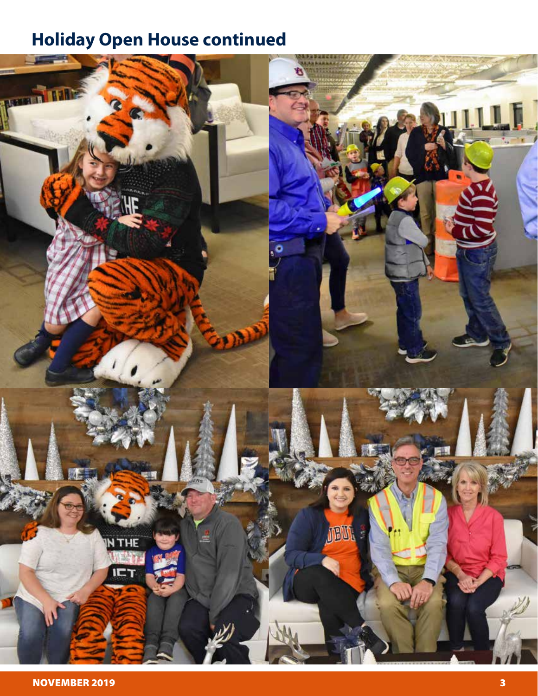# **Holiday Open House continued**